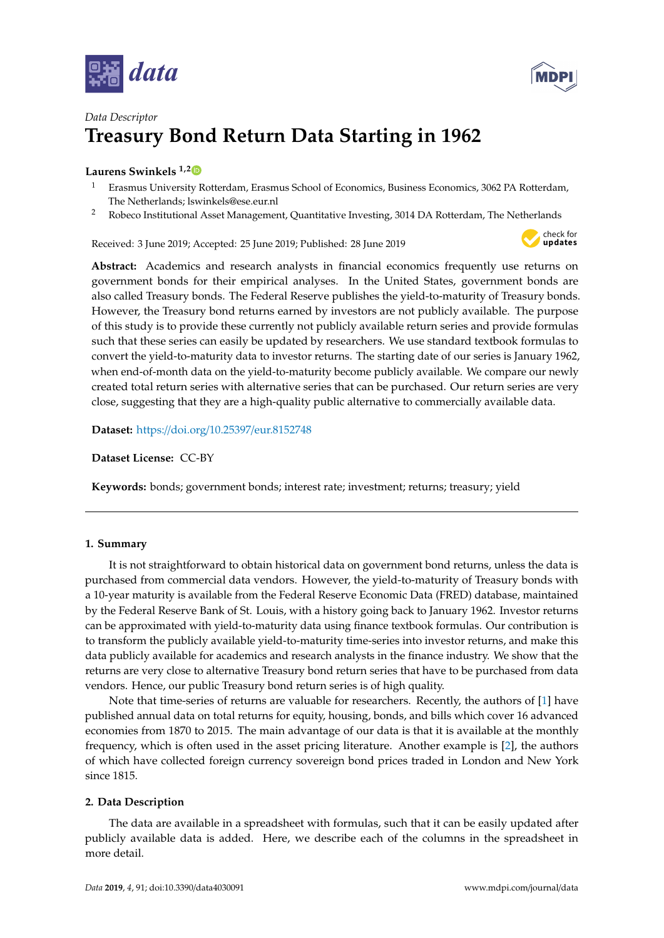



# *Data Descriptor* **Treasury Bond Return Data Starting in 1962**

# **Laurens Swinkels 1,[2](https://orcid.org/0000-0002-1174-8079)**

- <sup>1</sup> Erasmus University Rotterdam, Erasmus School of Economics, Business Economics, 3062 PA Rotterdam, The Netherlands; lswinkels@ese.eur.nl
- <sup>2</sup> Robeco Institutional Asset Management, Quantitative Investing, 3014 DA Rotterdam, The Netherlands

Received: 3 June 2019; Accepted: 25 June 2019; Published: 28 June 2019



**Abstract:** Academics and research analysts in financial economics frequently use returns on government bonds for their empirical analyses. In the United States, government bonds are also called Treasury bonds. The Federal Reserve publishes the yield-to-maturity of Treasury bonds. However, the Treasury bond returns earned by investors are not publicly available. The purpose of this study is to provide these currently not publicly available return series and provide formulas such that these series can easily be updated by researchers. We use standard textbook formulas to convert the yield-to-maturity data to investor returns. The starting date of our series is January 1962, when end-of-month data on the yield-to-maturity become publicly available. We compare our newly created total return series with alternative series that can be purchased. Our return series are very close, suggesting that they are a high-quality public alternative to commercially available data.

**Dataset:** https://doi.org/10.25397/[eur.8152748](https://doi.org/10.25397/eur.8152748)

**Dataset License:** CC-BY

**Keywords:** bonds; government bonds; interest rate; investment; returns; treasury; yield

## **1. Summary**

It is not straightforward to obtain historical data on government bond returns, unless the data is purchased from commercial data vendors. However, the yield-to-maturity of Treasury bonds with a 10-year maturity is available from the Federal Reserve Economic Data (FRED) database, maintained by the Federal Reserve Bank of St. Louis, with a history going back to January 1962. Investor returns can be approximated with yield-to-maturity data using finance textbook formulas. Our contribution is to transform the publicly available yield-to-maturity time-series into investor returns, and make this data publicly available for academics and research analysts in the finance industry. We show that the returns are very close to alternative Treasury bond return series that have to be purchased from data vendors. Hence, our public Treasury bond return series is of high quality.

Note that time-series of returns are valuable for researchers. Recently, the authors of [\[1\]](#page-4-0) have published annual data on total returns for equity, housing, bonds, and bills which cover 16 advanced economies from 1870 to 2015. The main advantage of our data is that it is available at the monthly frequency, which is often used in the asset pricing literature. Another example is [\[2\]](#page-4-1), the authors of which have collected foreign currency sovereign bond prices traded in London and New York since 1815.

## **2. Data Description**

The data are available in a spreadsheet with formulas, such that it can be easily updated after publicly available data is added. Here, we describe each of the columns in the spreadsheet in more detail.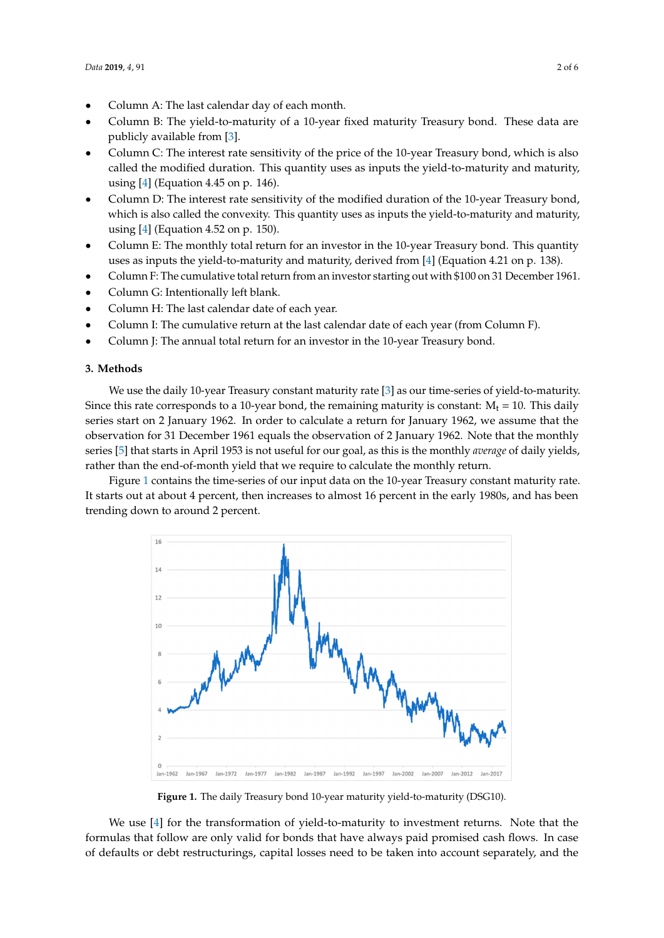- Column A: The last calendar day of each month.
- Column B: The last calendar day of each month.<br>• Column B: The yield-to-maturity of a 10-year fixed maturity Treasury bond. These data are publicly available from [\[3\]](#page-4-2). publicly available from [3]. • Countries. The yield-to-maturity of a 10-year fixed maturity Treasury bond. These data are
- Column C: The interest rate sensitivity of the price of the 10-year Treasury bond, which is also called the modified duration. This quantity uses as inputs the yield-to-maturity and maturity, called the modified duration. This quantity uses as inputs the yield-to-maturity and maturity, using [\[4\]](#page-5-0) (Equation 4.45 on p. 146). using [4] (Equation 4.45 on p. 146).
- Column D: The interest rate sensitivity of the modified duration of the 10-year Treasury bond, Column D: The interest rate sensitivity of the modified duration of the 10-year Treasury bond, which is also called the convexity. This quantity uses as inputs the yield-to-maturity and maturity, using  $[4]$  (Equation 4.52 on p. 150).
- Column E: The monthly total return for an investor in the 10-year Treasury bond. This quantity Column E: The monthly total return for an investor in the 10-year Treasury bond. This quantity uses as inputs the yield-to-maturity and maturity, derived from [\[4\]](#page-5-0) (Equation 4.21 on p. 138). uses as inputs the yield-to-maturity and maturity, derived from [4] (Equation 4.21 on p. 138).
- Column F: The cumulative total return from an investor starting out with \$100 on 31 December 1961.
- Column G: Intentionally left blank.
- Column H: The last calendar date of each year.
- Column I: The cumulative return at the last calendar date of each year (from Column F).
- Column J: The annual total return for an investor in the 10-year Treasury bond.

#### **3. Methods**

We use the daily 10-year Treasury constant maturity rate [\[3\]](#page-4-2) as our time-series of yield-to-maturity. Since this rate corresponds to a 10-year bond, the remaining maturity is constant:  $M_t = 10$ . This daily series start on 2 January 1962. In order to calculate a return for January 1962, we assume that the observation for 31 December 1961 equals the observation of 2 January 1962. Note that the monthly series [5] that starts in April 1953 is not useful for our goal, as this is t[he](#page-5-1) monthly *average* of daily yields, rather than the end-of-month yield that we require to calculate the monthly return. **3. Methods** 

<span id="page-1-0"></span>Figure 1 contains the time-series of our input data on the 10-year Treasury constant maturity rate. It starts out at about 4 percent, then increases to almost 16 percent in the early 1980s, and has been trending down to around 2 percent.



**Figure 1.** The daily Treasury bond 10-year maturity yield-to-maturity (DSG10). **Figure 1.** The daily Treasury bond 10-year maturity yield-to-maturity (DSG10).

We use [\[4\]](#page-5-0) for the transformation of yield-to-maturity to investment returns. Note that the formulas that follow are only valid for bonds that have always paid promised cash flows. In case defaults or debt restructurings, capital losses need to be taken into account separately, and the of defaults or debt restructurings, capital losses need to be taken into account separately, and the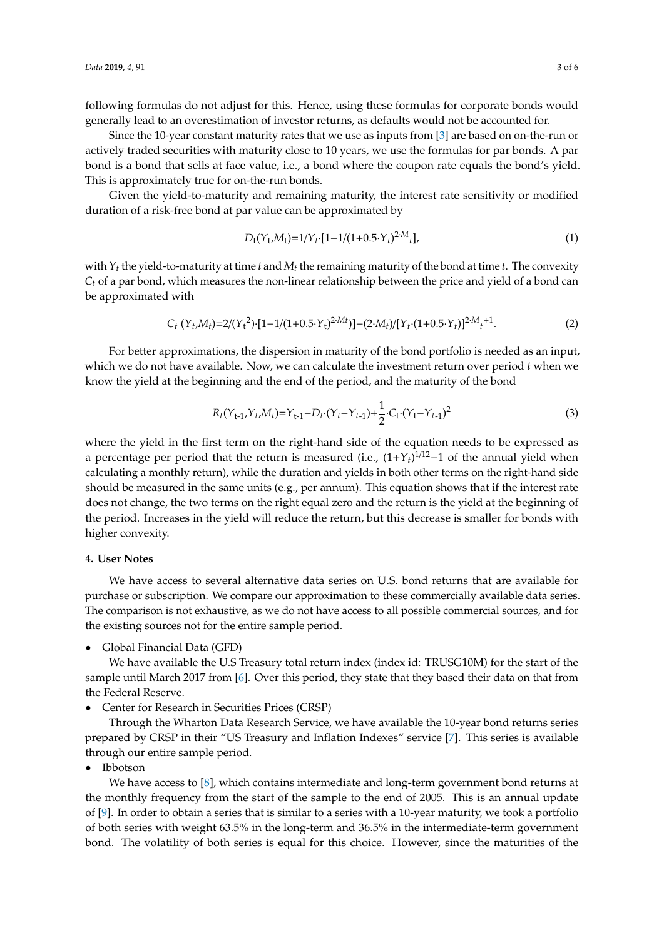following formulas do not adjust for this. Hence, using these formulas for corporate bonds would generally lead to an overestimation of investor returns, as defaults would not be accounted for.

Since the 10-year constant maturity rates that we use as inputs from [\[3\]](#page-4-2) are based on on-the-run or actively traded securities with maturity close to 10 years, we use the formulas for par bonds. A par bond is a bond that sells at face value, i.e., a bond where the coupon rate equals the bond's yield. This is approximately true for on-the-run bonds.

Given the yield-to-maturity and remaining maturity, the interest rate sensitivity or modified duration of a risk-free bond at par value can be approximated by

$$
D_{t}(Y_{t},M_{t})=1/Y_{t}\cdot[1-1/(1+0.5\cdot Y_{t})^{2\cdot M}t],
$$
\n(1)

with  $Y_t$  the yield-to-maturity at time *t* and  $M_t$  the remaining maturity of the bond at time *t*. The convexity *Ct* of a par bond, which measures the non-linear relationship between the price and yield of a bond can be approximated with

$$
C_t(Y_t, M_t) = 2/(Y_t^2) \cdot [1 - 1/(1 + 0.5 \cdot Y_t)^{2 \cdot Mt})] - (2 \cdot M_t) / [Y_t \cdot (1 + 0.5 \cdot Y_t)]^{2 \cdot M} \cdot t^{+1}.
$$
 (2)

For better approximations, the dispersion in maturity of the bond portfolio is needed as an input, which we do not have available. Now, we can calculate the investment return over period *t* when we know the yield at the beginning and the end of the period, and the maturity of the bond

$$
R_t(Y_{t-1}, Y_t, M_t) = Y_{t-1} - D_t \cdot (Y_t - Y_{t-1}) + \frac{1}{2} \cdot C_t \cdot (Y_t - Y_{t-1})^2
$$
\n
$$
\tag{3}
$$

where the yield in the first term on the right-hand side of the equation needs to be expressed as a percentage per period that the return is measured (i.e., (1+*Yt*) <sup>1</sup>/12−1 of the annual yield when calculating a monthly return), while the duration and yields in both other terms on the right-hand side should be measured in the same units (e.g., per annum). This equation shows that if the interest rate does not change, the two terms on the right equal zero and the return is the yield at the beginning of the period. Increases in the yield will reduce the return, but this decrease is smaller for bonds with higher convexity.

#### **4. User Notes**

We have access to several alternative data series on U.S. bond returns that are available for purchase or subscription. We compare our approximation to these commercially available data series. The comparison is not exhaustive, as we do not have access to all possible commercial sources, and for the existing sources not for the entire sample period.

• Global Financial Data (GFD)

We have available the U.S Treasury total return index (index id: TRUSG10M) for the start of the sample until March 2017 from [\[6\]](#page-5-2). Over this period, they state that they based their data on that from the Federal Reserve.

• Center for Research in Securities Prices (CRSP)

Through the Wharton Data Research Service, we have available the 10-year bond returns series prepared by CRSP in their "US Treasury and Inflation Indexes" service [\[7\]](#page-5-3). This series is available through our entire sample period.

• Ibbotson

We have access to [\[8\]](#page-5-4), which contains intermediate and long-term government bond returns at the monthly frequency from the start of the sample to the end of 2005. This is an annual update of [\[9\]](#page-5-5). In order to obtain a series that is similar to a series with a 10-year maturity, we took a portfolio of both series with weight 63.5% in the long-term and 36.5% in the intermediate-term government bond. The volatility of both series is equal for this choice. However, since the maturities of the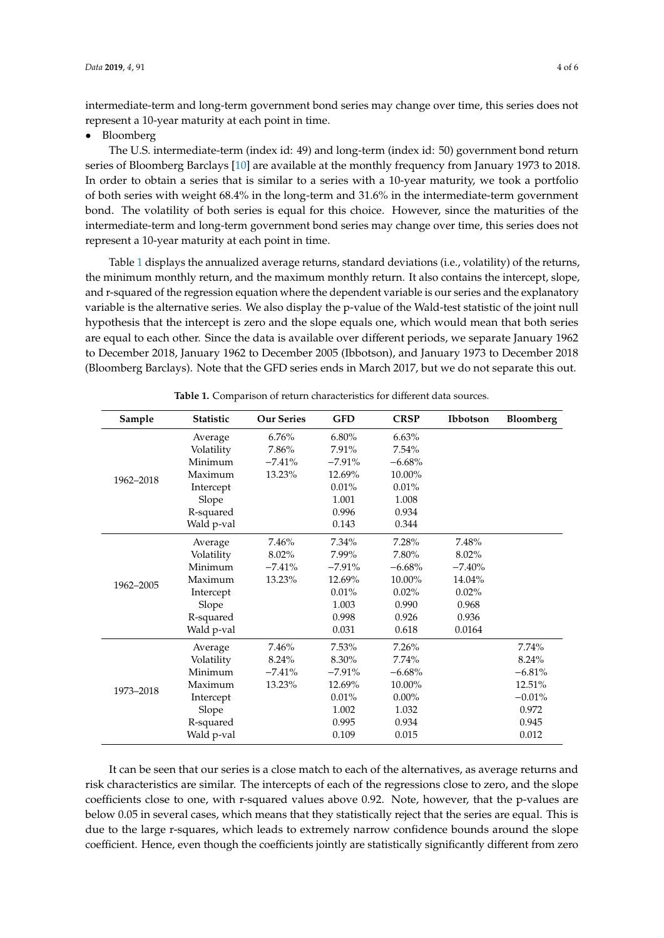intermediate-term and long-term government bond series may change over time, this series does not represent a 10-year maturity at each point in time.

• Bloomberg

The U.S. intermediate-term (index id: 49) and long-term (index id: 50) government bond return series of Bloomberg Barclays [\[10\]](#page-5-6) are available at the monthly frequency from January 1973 to 2018. In order to obtain a series that is similar to a series with a 10-year maturity, we took a portfolio of both series with weight 68.4% in the long-term and 31.6% in the intermediate-term government bond. The volatility of both series is equal for this choice. However, since the maturities of the intermediate-term and long-term government bond series may change over time, this series does not represent a 10-year maturity at each point in time.

Table [1](#page-3-0) displays the annualized average returns, standard deviations (i.e., volatility) of the returns, the minimum monthly return, and the maximum monthly return. It also contains the intercept, slope, and r-squared of the regression equation where the dependent variable is our series and the explanatory variable is the alternative series. We also display the p-value of the Wald-test statistic of the joint null hypothesis that the intercept is zero and the slope equals one, which would mean that both series are equal to each other. Since the data is available over different periods, we separate January 1962 to December 2018, January 1962 to December 2005 (Ibbotson), and January 1973 to December 2018 (Bloomberg Barclays). Note that the GFD series ends in March 2017, but we do not separate this out.

<span id="page-3-0"></span>

| Sample    | <b>Statistic</b> | <b>Our Series</b> | <b>GFD</b> | <b>CRSP</b> | <b>Ibbotson</b> | Bloomberg |
|-----------|------------------|-------------------|------------|-------------|-----------------|-----------|
| 1962-2018 | Average          | 6.76%             | 6.80%      | 6.63%       |                 |           |
|           | Volatility       | 7.86%             | 7.91%      | 7.54%       |                 |           |
|           | Minimum          | $-7.41%$          | $-7.91%$   | $-6.68%$    |                 |           |
|           | Maximum          | 13.23%            | 12.69%     | 10.00%      |                 |           |
|           | Intercept        |                   | $0.01\%$   | 0.01%       |                 |           |
|           | Slope            |                   | 1.001      | 1.008       |                 |           |
|           | R-squared        |                   | 0.996      | 0.934       |                 |           |
|           | Wald p-val       |                   | 0.143      | 0.344       |                 |           |
| 1962-2005 | Average          | 7.46%             | 7.34%      | 7.28%       | 7.48%           |           |
|           | Volatility       | 8.02%             | 7.99%      | 7.80%       | 8.02%           |           |
|           | Minimum          | $-7.41%$          | $-7.91%$   | $-6.68%$    | $-7.40%$        |           |
|           | Maximum          | 13.23%            | 12.69%     | 10.00%      | 14.04%          |           |
|           | Intercept        |                   | 0.01%      | $0.02\%$    | 0.02%           |           |
|           | Slope            |                   | 1.003      | 0.990       | 0.968           |           |
|           | R-squared        |                   | 0.998      | 0.926       | 0.936           |           |
|           | Wald p-val       |                   | 0.031      | 0.618       | 0.0164          |           |
| 1973-2018 | Average          | 7.46%             | 7.53%      | 7.26%       |                 | 7.74%     |
|           | Volatility       | 8.24%             | 8.30%      | 7.74%       |                 | 8.24%     |
|           | Minimum          | $-7.41%$          | $-7.91%$   | $-6.68%$    |                 | $-6.81%$  |
|           | Maximum          | 13.23%            | 12.69%     | 10.00%      |                 | 12.51%    |
|           | Intercept        |                   | 0.01%      | $0.00\%$    |                 | $-0.01%$  |
|           | Slope            |                   | 1.002      | 1.032       |                 | 0.972     |
|           | R-squared        |                   | 0.995      | 0.934       |                 | 0.945     |
|           | Wald p-val       |                   | 0.109      | 0.015       |                 | 0.012     |

**Table 1.** Comparison of return characteristics for different data sources.

It can be seen that our series is a close match to each of the alternatives, as average returns and risk characteristics are similar. The intercepts of each of the regressions close to zero, and the slope coefficients close to one, with r-squared values above 0.92. Note, however, that the p-values are below 0.05 in several cases, which means that they statistically reject that the series are equal. This is due to the large r-squares, which leads to extremely narrow confidence bounds around the slope coefficient. Hence, even though the coefficients jointly are statistically significantly different from zero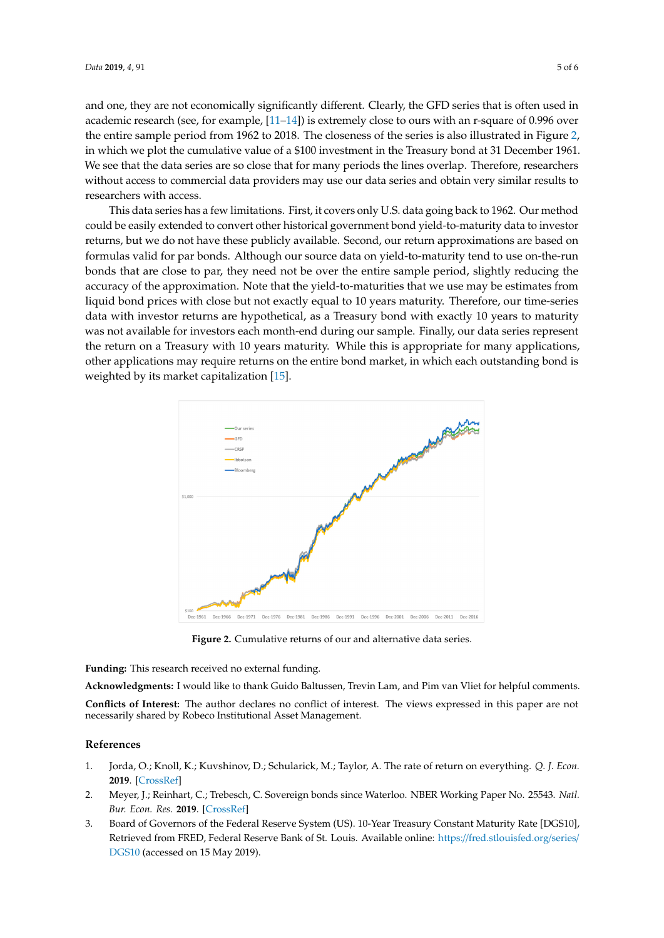and one, they are not economically significantly different. Clearly, the GFD series that is often used in academic research (see, for example, [\[11–](#page-5-7)[14\]](#page-5-8)) is extremely close to ours with an r-square of 0.996 over the entire sample period from 1962 to 2018. The closeness of the series is also illustrated in Figure [2,](#page-4-3) in which we plot the cumulative value of a \$100 investment in the Treasury bond at 31 December 1961. We see that the data series are so close that for many periods the lines overlap. Therefore, researchers without access to commercial data providers may use our data series and obtain very similar results to researchers with access.

This data series has a few limitations. First, it covers only U.S. data going back to 1962. Our method could be easily extended to convert other historical government bond yield-to-maturity data to investor returns, but we do not have these publicly available. Second, our return approximations are based on formulas valid for par bonds. Although our source data on yield-to-maturity tend to use on-the-run bonds that are close to par, they need not be over the entire sample period, slightly reducing the accuracy of the approximation. Note that the yield-to-maturities that we use may be estimates from liquid bond prices with close but not exactly equal to 10 years maturity. Therefore, our time-series data with investor returns are hypothetical, as a Treasury bond with exactly 10 years to maturity was not available for investors each month-end during our sample. Finally, our data series represent the return on a Treasury with 10 years maturity. While this is appropriate for many applications, other applications may require returns on the entire bond market, in which each outstanding bond is weighted by its market capitalization [\[15\]](#page-5-9).

<span id="page-4-3"></span>

**Figure 2.** Cumulative returns of our and alternative data series. **Figure 2.** Cumulative returns of our and alternative data series.

**Funding:** This research received no external funding. **Funding:** This research received no external funding.

Acknowledgments: I would like to thank Guido Baltussen, Trevin Lam, and Pim van Vliet for helpful comments. necessarily shared by Robeco Institutional Asset Management. necessarily shared by Robeco Institutional Asset Management. **Conflicts of Interest:** The author declares no conflict of interest. The views expressed in this paper are not

#### **References References**

- <span id="page-4-0"></span> $1.010$ ,  $[C_{\text{roce}}$  Refl,  $M$ 1. Jorda, O.; Knoll, K.; Kuvshinov, D.; Schularick, M.; Taylor, A. The rate of return on everything. *Q. J. Econ.* **2019**. [\[CrossRef\]](http://dx.doi.org/10.1093/qje/qjz012)
- <span id="page-4-1"></span>2. Meyer, J.; Reinhart, C.; Trebesch, C. Sovereign bonds since Waterloo. NBER Working Paper No. 25543. *Natl. Bur. Econ. Res.* 2019. [\[CrossRef\]](http://dx.doi.org/10.3386/w25543)
- <span id="page-4-2"></span>3. Board of Governors of the Federal Reserve System (US). 10-Year Treasury Constant Maturity Rate [DGS10], Retrieved from FRED, Federal Reserve Bank of St. Louis. Available online: https://[fred.stlouisfed.org](https://fred.stlouisfed.org/series/DGS10)/series/ [DGS10](https://fred.stlouisfed.org/series/DGS10) (accessed on 15 May 2019).

https://fred.stlouisfed.org/series/DGS10 (accessed on 15 May 2019).